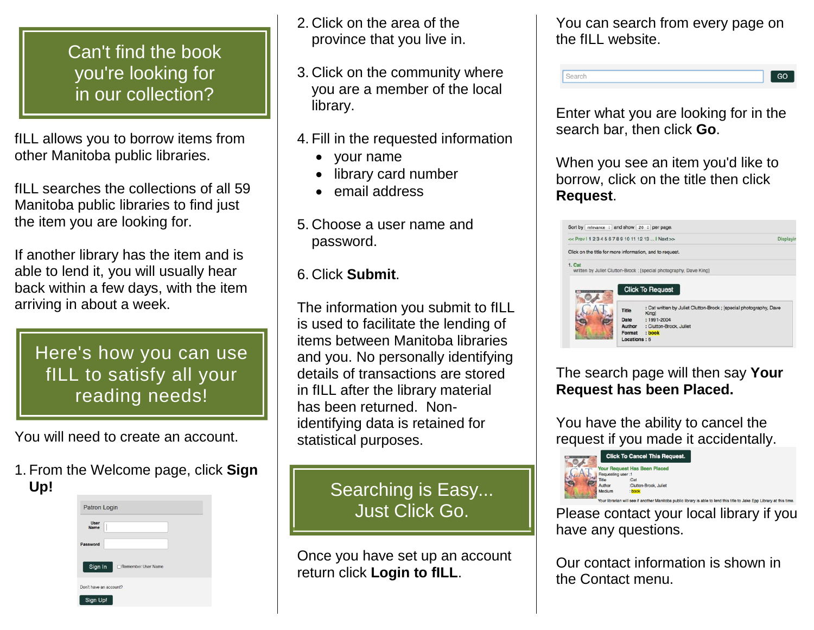## Can't find the book you're looking for in our collection?

fILL allows you to borrow items from other Manitoba public libraries.

fILL searches the collections of all 59 Manitoba public libraries to find just the item you are looking for.

If another library has the item and is able to lend it, you will usually hear back within a few days, with the item arriving in about a week.

Here's how you can use fILL to satisfy all your reading needs!

You will need to create an account.

1. From the Welcome page, click **Sign Up!**



- 2. Click on the area of the province that you live in.
- 3. Click on the community where you are a member of the local library.
- 4. Fill in the requested information
	- your name
	- library card number
	- email address
- 5. Choose a user name and password.
- 6. Click **Submit**.

The information you submit to fILL is used to facilitate the lending of items between Manitoba libraries and you. No personally identifying details of transactions are stored in fILL after the library material has been returned. Nonidentifying data is retained for statistical purposes.

> Searching is Easy... Searching is Easy... Just Click Go. Just Click Go.

Once you have set up an account return click **Login to fILL**.

You can search from every page on the fILL website.

Search GO

Enter what you are looking for in the search bar, then click **Go**.

When you see an item you'd like to borrow, click on the title then click **Request**.



The search page will then say **Your Request has been Placed.**

You have the ability to cancel the request if you made it accidentally.



Please contact your local library if you have any questions.

Our contact information is shown in the Contact menu.